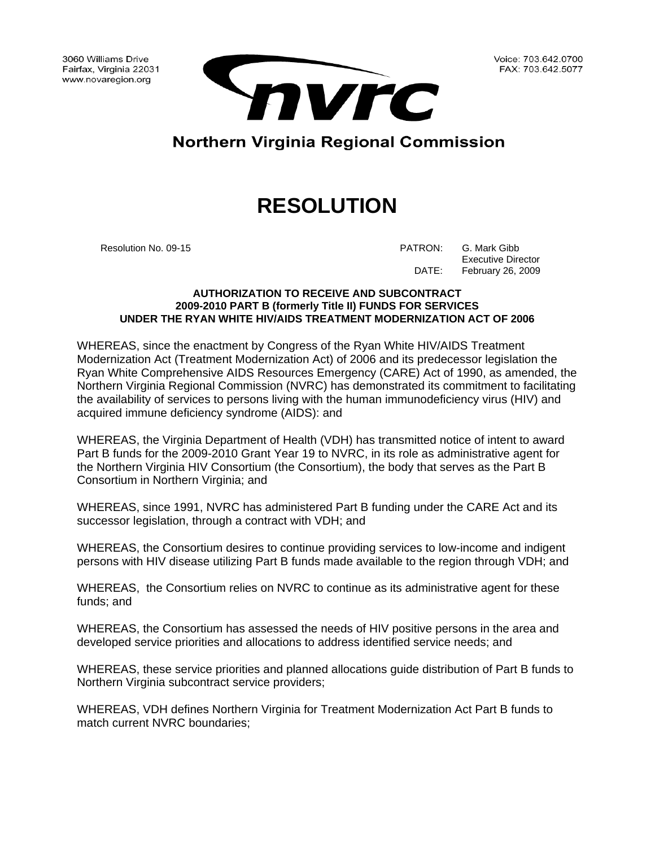3060 Williams Drive Fairfax, Virginia 22031 www.novaregion.org



## **Northern Virginia Regional Commission**

## **RESOLUTION**

 Resolution No. 09-15 PATRON: G. Mark Gibb Executive Director DATE: February 26, 2009

## **AUTHORIZATION TO RECEIVE AND SUBCONTRACT 2009-2010 PART B (formerly Title II) FUNDS FOR SERVICES UNDER THE RYAN WHITE HIV/AIDS TREATMENT MODERNIZATION ACT OF 2006**

WHEREAS, since the enactment by Congress of the Ryan White HIV/AIDS Treatment Modernization Act (Treatment Modernization Act) of 2006 and its predecessor legislation the Ryan White Comprehensive AIDS Resources Emergency (CARE) Act of 1990, as amended, the Northern Virginia Regional Commission (NVRC) has demonstrated its commitment to facilitating the availability of services to persons living with the human immunodeficiency virus (HIV) and acquired immune deficiency syndrome (AIDS): and

WHEREAS, the Virginia Department of Health (VDH) has transmitted notice of intent to award Part B funds for the 2009-2010 Grant Year 19 to NVRC, in its role as administrative agent for the Northern Virginia HIV Consortium (the Consortium), the body that serves as the Part B Consortium in Northern Virginia; and

WHEREAS, since 1991, NVRC has administered Part B funding under the CARE Act and its successor legislation, through a contract with VDH; and

WHEREAS, the Consortium desires to continue providing services to low-income and indigent persons with HIV disease utilizing Part B funds made available to the region through VDH; and

WHEREAS, the Consortium relies on NVRC to continue as its administrative agent for these funds; and

WHEREAS, the Consortium has assessed the needs of HIV positive persons in the area and developed service priorities and allocations to address identified service needs; and

WHEREAS, these service priorities and planned allocations guide distribution of Part B funds to Northern Virginia subcontract service providers;

WHEREAS, VDH defines Northern Virginia for Treatment Modernization Act Part B funds to match current NVRC boundaries;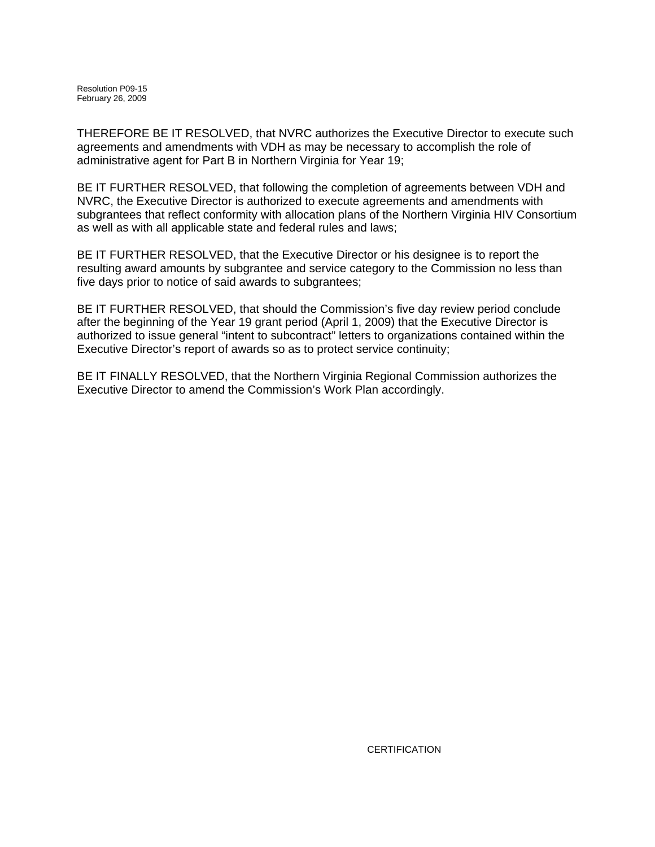Resolution P09-15 February 26, 2009

THEREFORE BE IT RESOLVED, that NVRC authorizes the Executive Director to execute such agreements and amendments with VDH as may be necessary to accomplish the role of administrative agent for Part B in Northern Virginia for Year 19;

BE IT FURTHER RESOLVED, that following the completion of agreements between VDH and NVRC, the Executive Director is authorized to execute agreements and amendments with subgrantees that reflect conformity with allocation plans of the Northern Virginia HIV Consortium as well as with all applicable state and federal rules and laws;

BE IT FURTHER RESOLVED, that the Executive Director or his designee is to report the resulting award amounts by subgrantee and service category to the Commission no less than five days prior to notice of said awards to subgrantees;

BE IT FURTHER RESOLVED, that should the Commission's five day review period conclude after the beginning of the Year 19 grant period (April 1, 2009) that the Executive Director is authorized to issue general "intent to subcontract" letters to organizations contained within the Executive Director's report of awards so as to protect service continuity;

BE IT FINALLY RESOLVED, that the Northern Virginia Regional Commission authorizes the Executive Director to amend the Commission's Work Plan accordingly.